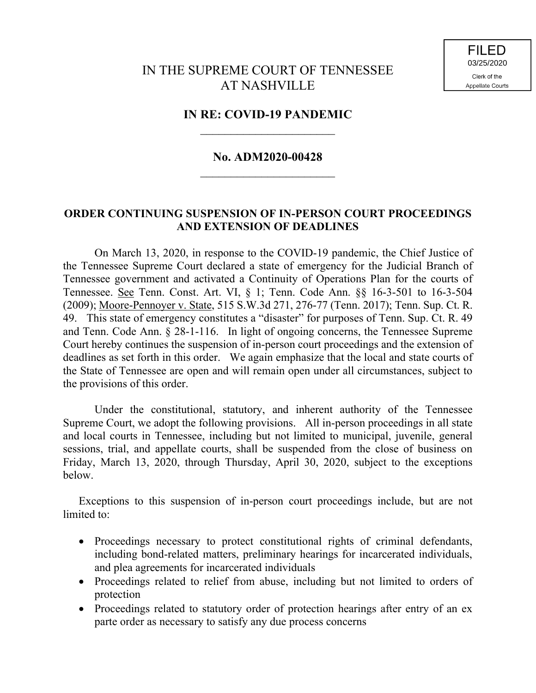**FILED** 03/25/2020Clerk of the **Appellate Courts** 

## **IN RE: COVID-19 PANDEMIC**  $\overline{\phantom{a}}$  , where  $\overline{\phantom{a}}$

## **No. ADM2020-00428**  $\overline{\phantom{a}}$  , where  $\overline{\phantom{a}}$

## **ORDER CONTINUING SUSPENSION OF IN-PERSON COURT PROCEEDINGS AND EXTENSION OF DEADLINES**

On March 13, 2020, in response to the COVID-19 pandemic, the Chief Justice of the Tennessee Supreme Court declared a state of emergency for the Judicial Branch of Tennessee government and activated a Continuity of Operations Plan for the courts of Tennessee. See Tenn. Const. Art. VI, § 1; Tenn. Code Ann. §§ 16-3-501 to 16-3-504 (2009); Moore-Pennoyer v. State, 515 S.W.3d 271, 276-77 (Tenn. 2017); Tenn. Sup. Ct. R. 49. This state of emergency constitutes a "disaster" for purposes of Tenn. Sup. Ct. R. 49 and Tenn. Code Ann. § 28-1-116. In light of ongoing concerns, the Tennessee Supreme Court hereby continues the suspension of in-person court proceedings and the extension of deadlines as set forth in this order. We again emphasize that the local and state courts of the State of Tennessee are open and will remain open under all circumstances, subject to the provisions of this order.

Under the constitutional, statutory, and inherent authority of the Tennessee Supreme Court, we adopt the following provisions. All in-person proceedings in all state and local courts in Tennessee, including but not limited to municipal, juvenile, general sessions, trial, and appellate courts, shall be suspended from the close of business on Friday, March 13, 2020, through Thursday, April 30, 2020, subject to the exceptions below.

Exceptions to this suspension of in-person court proceedings include, but are not limited to:

- Proceedings necessary to protect constitutional rights of criminal defendants, including bond-related matters, preliminary hearings for incarcerated individuals, and plea agreements for incarcerated individuals
- Proceedings related to relief from abuse, including but not limited to orders of protection
- Proceedings related to statutory order of protection hearings after entry of an ex parte order as necessary to satisfy any due process concerns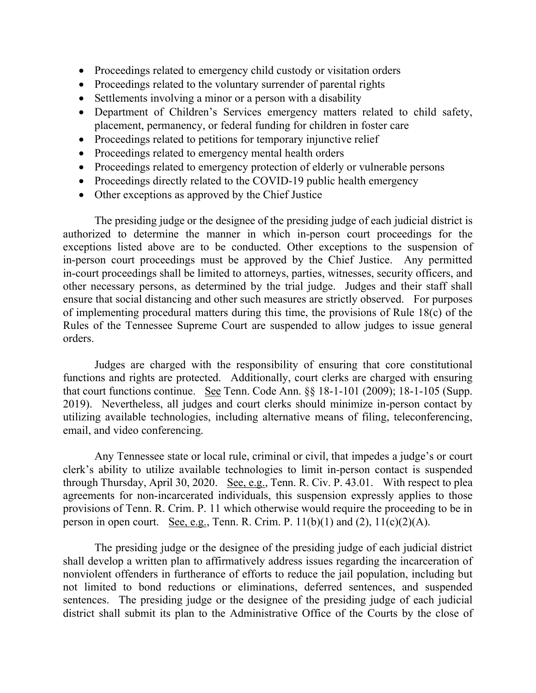- Proceedings related to emergency child custody or visitation orders
- Proceedings related to the voluntary surrender of parental rights
- Settlements involving a minor or a person with a disability
- Department of Children's Services emergency matters related to child safety, placement, permanency, or federal funding for children in foster care
- Proceedings related to petitions for temporary injunctive relief
- Proceedings related to emergency mental health orders
- Proceedings related to emergency protection of elderly or vulnerable persons
- Proceedings directly related to the COVID-19 public health emergency
- Other exceptions as approved by the Chief Justice

The presiding judge or the designee of the presiding judge of each judicial district is authorized to determine the manner in which in-person court proceedings for the exceptions listed above are to be conducted. Other exceptions to the suspension of in-person court proceedings must be approved by the Chief Justice. Any permitted in-court proceedings shall be limited to attorneys, parties, witnesses, security officers, and other necessary persons, as determined by the trial judge. Judges and their staff shall ensure that social distancing and other such measures are strictly observed. For purposes of implementing procedural matters during this time, the provisions of Rule 18(c) of the Rules of the Tennessee Supreme Court are suspended to allow judges to issue general orders.

Judges are charged with the responsibility of ensuring that core constitutional functions and rights are protected. Additionally, court clerks are charged with ensuring that court functions continue. See Tenn. Code Ann. §§ 18-1-101 (2009); 18-1-105 (Supp. 2019). Nevertheless, all judges and court clerks should minimize in-person contact by utilizing available technologies, including alternative means of filing, teleconferencing, email, and video conferencing.

Any Tennessee state or local rule, criminal or civil, that impedes a judge's or court clerk's ability to utilize available technologies to limit in-person contact is suspended through Thursday, April 30, 2020. See, e.g., Tenn. R. Civ. P. 43.01. With respect to plea agreements for non-incarcerated individuals, this suspension expressly applies to those provisions of Tenn. R. Crim. P. 11 which otherwise would require the proceeding to be in person in open court. See, e.g., Tenn. R. Crim. P.  $11(b)(1)$  and  $(2)$ ,  $11(c)(2)(A)$ .

The presiding judge or the designee of the presiding judge of each judicial district shall develop a written plan to affirmatively address issues regarding the incarceration of nonviolent offenders in furtherance of efforts to reduce the jail population, including but not limited to bond reductions or eliminations, deferred sentences, and suspended sentences. The presiding judge or the designee of the presiding judge of each judicial district shall submit its plan to the Administrative Office of the Courts by the close of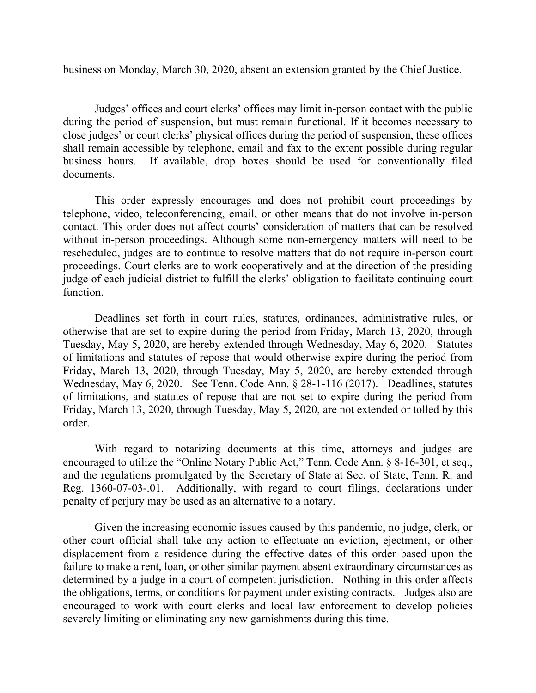business on Monday, March 30, 2020, absent an extension granted by the Chief Justice.

Judges' offices and court clerks' offices may limit in-person contact with the public during the period of suspension, but must remain functional. If it becomes necessary to close judges' or court clerks' physical offices during the period of suspension, these offices shall remain accessible by telephone, email and fax to the extent possible during regular business hours. If available, drop boxes should be used for conventionally filed documents.

This order expressly encourages and does not prohibit court proceedings by telephone, video, teleconferencing, email, or other means that do not involve in-person contact. This order does not affect courts' consideration of matters that can be resolved without in-person proceedings. Although some non-emergency matters will need to be rescheduled, judges are to continue to resolve matters that do not require in-person court proceedings. Court clerks are to work cooperatively and at the direction of the presiding judge of each judicial district to fulfill the clerks' obligation to facilitate continuing court function.

Deadlines set forth in court rules, statutes, ordinances, administrative rules, or otherwise that are set to expire during the period from Friday, March 13, 2020, through Tuesday, May 5, 2020, are hereby extended through Wednesday, May 6, 2020. Statutes of limitations and statutes of repose that would otherwise expire during the period from Friday, March 13, 2020, through Tuesday, May 5, 2020, are hereby extended through Wednesday, May 6, 2020. See Tenn. Code Ann. § 28-1-116 (2017). Deadlines, statutes of limitations, and statutes of repose that are not set to expire during the period from Friday, March 13, 2020, through Tuesday, May 5, 2020, are not extended or tolled by this order.

With regard to notarizing documents at this time, attorneys and judges are encouraged to utilize the "Online Notary Public Act," Tenn. Code Ann. § 8-16-301, et seq., and the regulations promulgated by the Secretary of State at Sec. of State, Tenn. R. and Reg. 1360-07-03-.01. Additionally, with regard to court filings, declarations under penalty of perjury may be used as an alternative to a notary.

Given the increasing economic issues caused by this pandemic, no judge, clerk, or other court official shall take any action to effectuate an eviction, ejectment, or other displacement from a residence during the effective dates of this order based upon the failure to make a rent, loan, or other similar payment absent extraordinary circumstances as determined by a judge in a court of competent jurisdiction. Nothing in this order affects the obligations, terms, or conditions for payment under existing contracts. Judges also are encouraged to work with court clerks and local law enforcement to develop policies severely limiting or eliminating any new garnishments during this time.